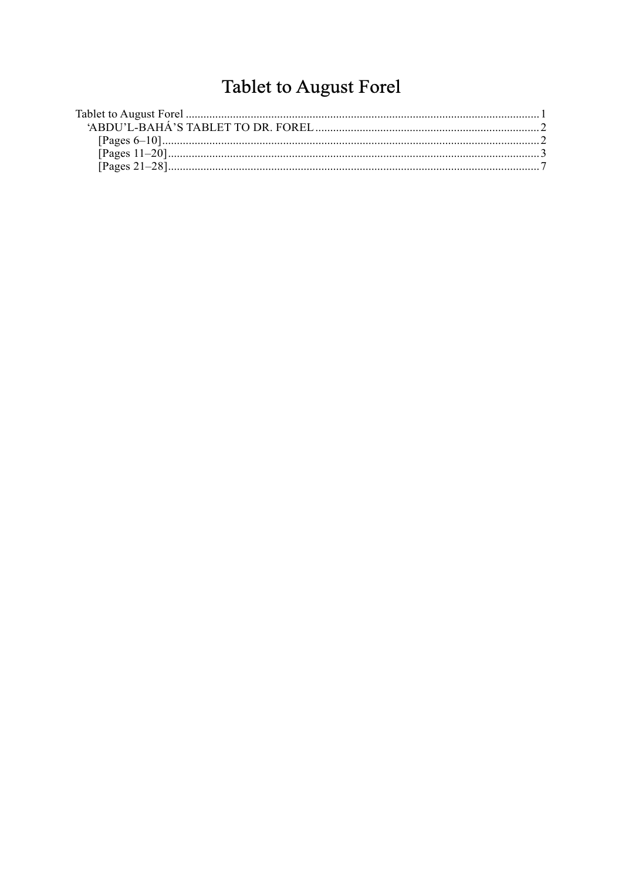# Tablet to August Forel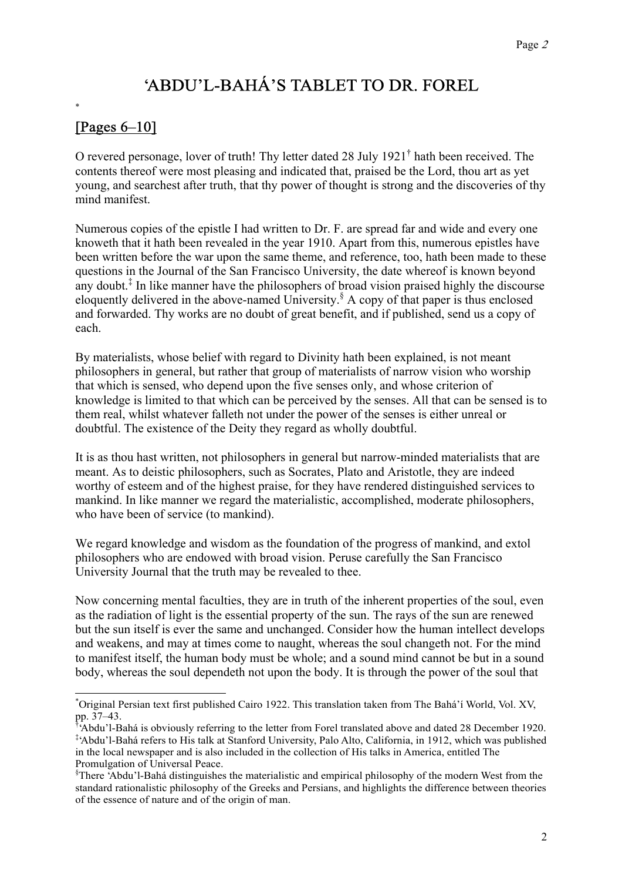## 'ABDU'L-BAHÁ'S TABLET TO DR. FOREL

### [Pages 6–10]

\*

O revered personage, lover of truth! Thy letter dated 28 July 1921† hath been received. The contents thereof were most pleasing and indicated that, praised be the Lord, thou art as yet young, and searchest after truth, that thy power of thought is strong and the discoveries of thy mind manifest.

Numerous copies of the epistle I had written to Dr. F. are spread far and wide and every one knoweth that it hath been revealed in the year 1910. Apart from this, numerous epistles have been written before the war upon the same theme, and reference, too, hath been made to these questions in the Journal of the San Francisco University, the date whereof is known beyond any doubt.‡ In like manner have the philosophers of broad vision praised highly the discourse eloquently delivered in the above-named University.<sup>§</sup> A copy of that paper is thus enclosed and forwarded. Thy works are no doubt of great benefit, and if published, send us a copy of each.

By materialists, whose belief with regard to Divinity hath been explained, is not meant philosophers in general, but rather that group of materialists of narrow vision who worship that which is sensed, who depend upon the five senses only, and whose criterion of knowledge is limited to that which can be perceived by the senses. All that can be sensed is to them real, whilst whatever falleth not under the power of the senses is either unreal or doubtful. The existence of the Deity they regard as wholly doubtful.

It is as thou hast written, not philosophers in general but narrow-minded materialists that are meant. As to deistic philosophers, such as Socrates, Plato and Aristotle, they are indeed worthy of esteem and of the highest praise, for they have rendered distinguished services to mankind. In like manner we regard the materialistic, accomplished, moderate philosophers, who have been of service (to mankind).

We regard knowledge and wisdom as the foundation of the progress of mankind, and extol philosophers who are endowed with broad vision. Peruse carefully the San Francisco University Journal that the truth may be revealed to thee.

Now concerning mental faculties, they are in truth of the inherent properties of the soul, even as the radiation of light is the essential property of the sun. The rays of the sun are renewed but the sun itself is ever the same and unchanged. Consider how the human intellect develops and weakens, and may at times come to naught, whereas the soul changeth not. For the mind to manifest itself, the human body must be whole; and a sound mind cannot be but in a sound body, whereas the soul dependeth not upon the body. It is through the power of the soul that

 <sup>\*</sup> Original Persian text first published Cairo 1922. This translation taken from The Bahá'í World, Vol. XV, pp. 37–43.<br>Liabdu?LPe

<sup>&#</sup>x27;Abdu'l-Bahá is obviously referring to the letter from Forel translated above and dated 28 December 1920. ‡ 'Abdu'l-Bahá refers to His talk at Stanford University, Palo Alto, California, in 1912, which was published in the local newspaper and is also included in the collection of His talks in America, entitled The Promulgation of Universal Peace.

<sup>§</sup> There 'Abdu'l-Bahá distinguishes the materialistic and empirical philosophy of the modern West from the standard rationalistic philosophy of the Greeks and Persians, and highlights the difference between theories of the essence of nature and of the origin of man.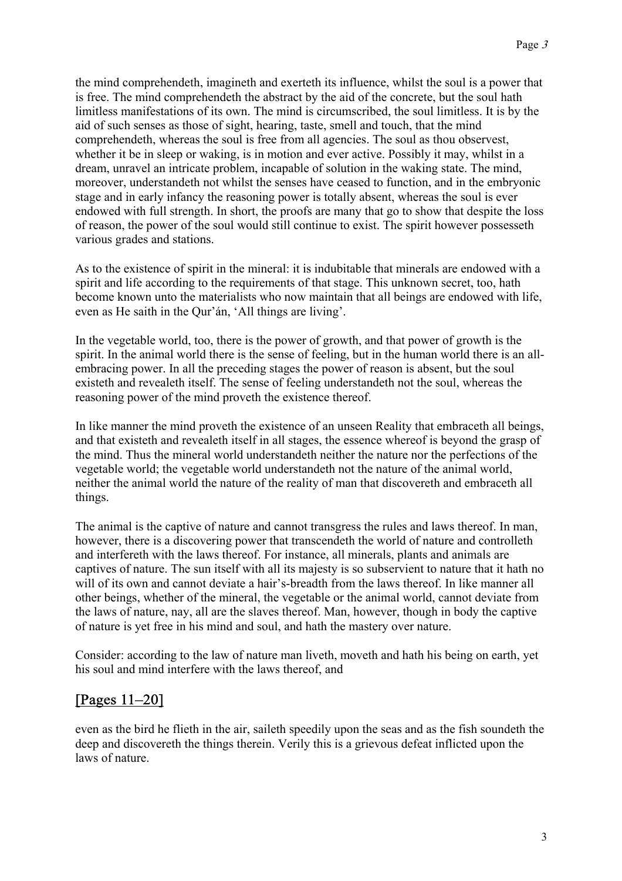the mind comprehendeth, imagineth and exerteth its influence, whilst the soul is a power that is free. The mind comprehendeth the abstract by the aid of the concrete, but the soul hath limitless manifestations of its own. The mind is circumscribed, the soul limitless. It is by the aid of such senses as those of sight, hearing, taste, smell and touch, that the mind comprehendeth, whereas the soul is free from all agencies. The soul as thou observest, whether it be in sleep or waking, is in motion and ever active. Possibly it may, whilst in a dream, unravel an intricate problem, incapable of solution in the waking state. The mind, moreover, understandeth not whilst the senses have ceased to function, and in the embryonic stage and in early infancy the reasoning power is totally absent, whereas the soul is ever endowed with full strength. In short, the proofs are many that go to show that despite the loss of reason, the power of the soul would still continue to exist. The spirit however possesseth various grades and stations.

As to the existence of spirit in the mineral: it is indubitable that minerals are endowed with a spirit and life according to the requirements of that stage. This unknown secret, too, hath become known unto the materialists who now maintain that all beings are endowed with life, even as He saith in the Qur'án, 'All things are living'.

In the vegetable world, too, there is the power of growth, and that power of growth is the spirit. In the animal world there is the sense of feeling, but in the human world there is an allembracing power. In all the preceding stages the power of reason is absent, but the soul existeth and revealeth itself. The sense of feeling understandeth not the soul, whereas the reasoning power of the mind proveth the existence thereof.

In like manner the mind proveth the existence of an unseen Reality that embraceth all beings, and that existeth and revealeth itself in all stages, the essence whereof is beyond the grasp of the mind. Thus the mineral world understandeth neither the nature nor the perfections of the vegetable world; the vegetable world understandeth not the nature of the animal world, neither the animal world the nature of the reality of man that discovereth and embraceth all things.

The animal is the captive of nature and cannot transgress the rules and laws thereof. In man, however, there is a discovering power that transcendeth the world of nature and controlleth and interfereth with the laws thereof. For instance, all minerals, plants and animals are captives of nature. The sun itself with all its majesty is so subservient to nature that it hath no will of its own and cannot deviate a hair's-breadth from the laws thereof. In like manner all other beings, whether of the mineral, the vegetable or the animal world, cannot deviate from the laws of nature, nay, all are the slaves thereof. Man, however, though in body the captive of nature is yet free in his mind and soul, and hath the mastery over nature.

Consider: according to the law of nature man liveth, moveth and hath his being on earth, yet his soul and mind interfere with the laws thereof, and

#### [Pages 11–20]

even as the bird he flieth in the air, saileth speedily upon the seas and as the fish soundeth the deep and discovereth the things therein. Verily this is a grievous defeat inflicted upon the laws of nature.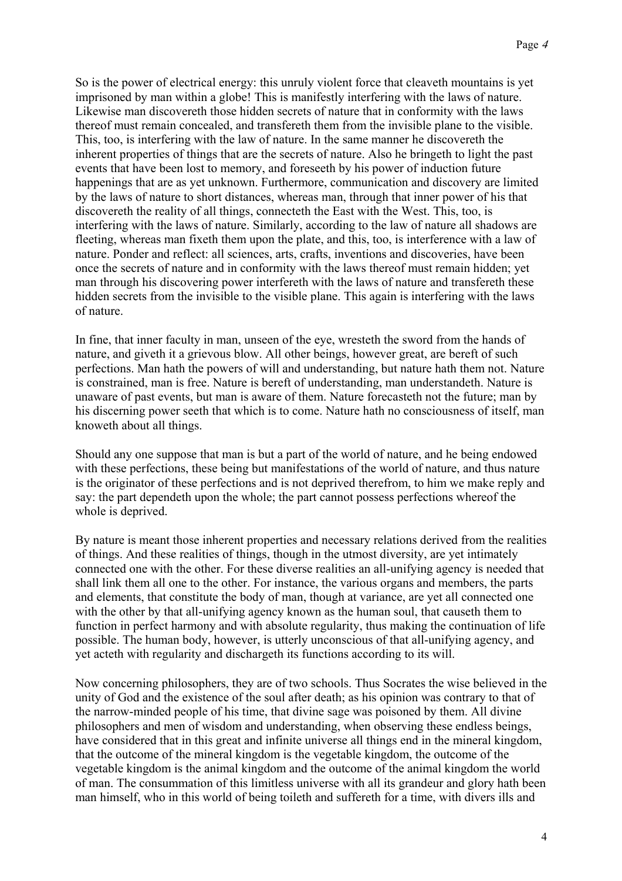So is the power of electrical energy: this unruly violent force that cleaveth mountains is yet imprisoned by man within a globe! This is manifestly interfering with the laws of nature. Likewise man discovereth those hidden secrets of nature that in conformity with the laws thereof must remain concealed, and transfereth them from the invisible plane to the visible. This, too, is interfering with the law of nature. In the same manner he discovereth the inherent properties of things that are the secrets of nature. Also he bringeth to light the past events that have been lost to memory, and foreseeth by his power of induction future happenings that are as yet unknown. Furthermore, communication and discovery are limited by the laws of nature to short distances, whereas man, through that inner power of his that discovereth the reality of all things, connecteth the East with the West. This, too, is interfering with the laws of nature. Similarly, according to the law of nature all shadows are fleeting, whereas man fixeth them upon the plate, and this, too, is interference with a law of nature. Ponder and reflect: all sciences, arts, crafts, inventions and discoveries, have been once the secrets of nature and in conformity with the laws thereof must remain hidden; yet man through his discovering power interfereth with the laws of nature and transfereth these hidden secrets from the invisible to the visible plane. This again is interfering with the laws of nature.

In fine, that inner faculty in man, unseen of the eye, wresteth the sword from the hands of nature, and giveth it a grievous blow. All other beings, however great, are bereft of such perfections. Man hath the powers of will and understanding, but nature hath them not. Nature is constrained, man is free. Nature is bereft of understanding, man understandeth. Nature is unaware of past events, but man is aware of them. Nature forecasteth not the future; man by his discerning power seeth that which is to come. Nature hath no consciousness of itself, man knoweth about all things.

Should any one suppose that man is but a part of the world of nature, and he being endowed with these perfections, these being but manifestations of the world of nature, and thus nature is the originator of these perfections and is not deprived therefrom, to him we make reply and say: the part dependeth upon the whole; the part cannot possess perfections whereof the whole is deprived.

By nature is meant those inherent properties and necessary relations derived from the realities of things. And these realities of things, though in the utmost diversity, are yet intimately connected one with the other. For these diverse realities an all-unifying agency is needed that shall link them all one to the other. For instance, the various organs and members, the parts and elements, that constitute the body of man, though at variance, are yet all connected one with the other by that all-unifying agency known as the human soul, that causeth them to function in perfect harmony and with absolute regularity, thus making the continuation of life possible. The human body, however, is utterly unconscious of that all-unifying agency, and yet acteth with regularity and dischargeth its functions according to its will.

Now concerning philosophers, they are of two schools. Thus Socrates the wise believed in the unity of God and the existence of the soul after death; as his opinion was contrary to that of the narrow-minded people of his time, that divine sage was poisoned by them. All divine philosophers and men of wisdom and understanding, when observing these endless beings, have considered that in this great and infinite universe all things end in the mineral kingdom, that the outcome of the mineral kingdom is the vegetable kingdom, the outcome of the vegetable kingdom is the animal kingdom and the outcome of the animal kingdom the world of man. The consummation of this limitless universe with all its grandeur and glory hath been man himself, who in this world of being toileth and suffereth for a time, with divers ills and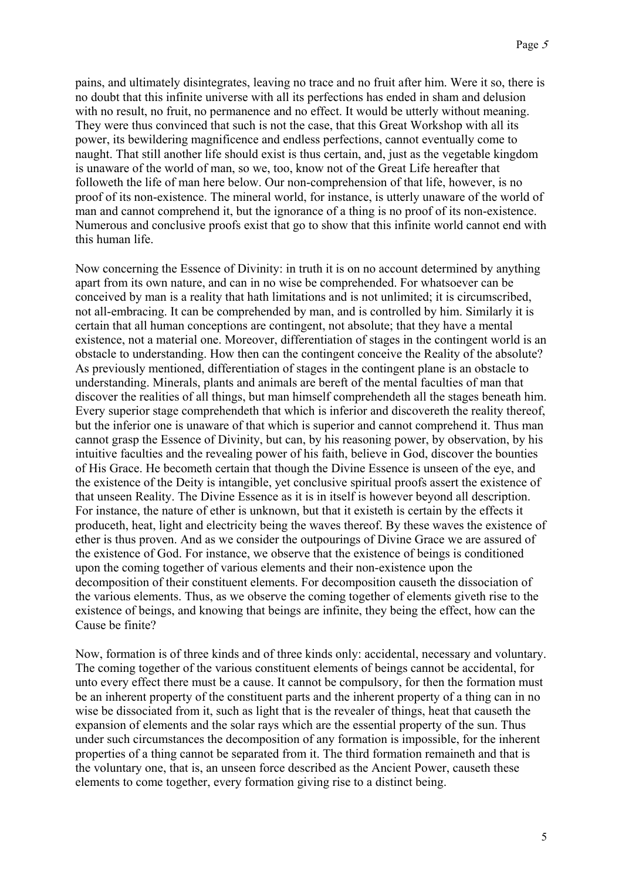pains, and ultimately disintegrates, leaving no trace and no fruit after him. Were it so, there is no doubt that this infinite universe with all its perfections has ended in sham and delusion with no result, no fruit, no permanence and no effect. It would be utterly without meaning. They were thus convinced that such is not the case, that this Great Workshop with all its power, its bewildering magnificence and endless perfections, cannot eventually come to naught. That still another life should exist is thus certain, and, just as the vegetable kingdom is unaware of the world of man, so we, too, know not of the Great Life hereafter that followeth the life of man here below. Our non-comprehension of that life, however, is no proof of its non-existence. The mineral world, for instance, is utterly unaware of the world of man and cannot comprehend it, but the ignorance of a thing is no proof of its non-existence. Numerous and conclusive proofs exist that go to show that this infinite world cannot end with this human life.

Now concerning the Essence of Divinity: in truth it is on no account determined by anything apart from its own nature, and can in no wise be comprehended. For whatsoever can be conceived by man is a reality that hath limitations and is not unlimited; it is circumscribed, not all-embracing. It can be comprehended by man, and is controlled by him. Similarly it is certain that all human conceptions are contingent, not absolute; that they have a mental existence, not a material one. Moreover, differentiation of stages in the contingent world is an obstacle to understanding. How then can the contingent conceive the Reality of the absolute? As previously mentioned, differentiation of stages in the contingent plane is an obstacle to understanding. Minerals, plants and animals are bereft of the mental faculties of man that discover the realities of all things, but man himself comprehendeth all the stages beneath him. Every superior stage comprehendeth that which is inferior and discovereth the reality thereof, but the inferior one is unaware of that which is superior and cannot comprehend it. Thus man cannot grasp the Essence of Divinity, but can, by his reasoning power, by observation, by his intuitive faculties and the revealing power of his faith, believe in God, discover the bounties of His Grace. He becometh certain that though the Divine Essence is unseen of the eye, and the existence of the Deity is intangible, yet conclusive spiritual proofs assert the existence of that unseen Reality. The Divine Essence as it is in itself is however beyond all description. For instance, the nature of ether is unknown, but that it existeth is certain by the effects it produceth, heat, light and electricity being the waves thereof. By these waves the existence of ether is thus proven. And as we consider the outpourings of Divine Grace we are assured of the existence of God. For instance, we observe that the existence of beings is conditioned upon the coming together of various elements and their non-existence upon the decomposition of their constituent elements. For decomposition causeth the dissociation of the various elements. Thus, as we observe the coming together of elements giveth rise to the existence of beings, and knowing that beings are infinite, they being the effect, how can the Cause be finite?

Now, formation is of three kinds and of three kinds only: accidental, necessary and voluntary. The coming together of the various constituent elements of beings cannot be accidental, for unto every effect there must be a cause. It cannot be compulsory, for then the formation must be an inherent property of the constituent parts and the inherent property of a thing can in no wise be dissociated from it, such as light that is the revealer of things, heat that causeth the expansion of elements and the solar rays which are the essential property of the sun. Thus under such circumstances the decomposition of any formation is impossible, for the inherent properties of a thing cannot be separated from it. The third formation remaineth and that is the voluntary one, that is, an unseen force described as the Ancient Power, causeth these elements to come together, every formation giving rise to a distinct being.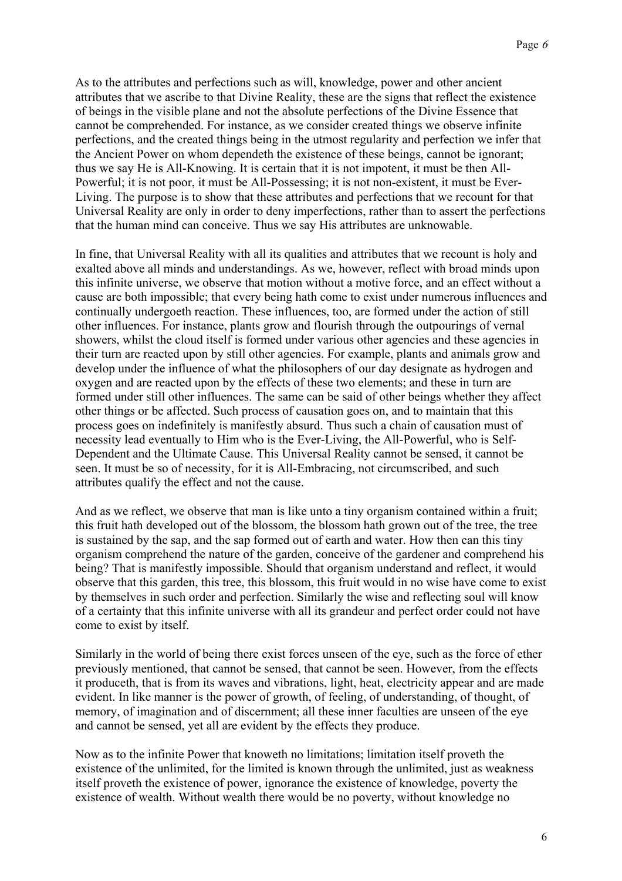As to the attributes and perfections such as will, knowledge, power and other ancient attributes that we ascribe to that Divine Reality, these are the signs that reflect the existence of beings in the visible plane and not the absolute perfections of the Divine Essence that cannot be comprehended. For instance, as we consider created things we observe infinite perfections, and the created things being in the utmost regularity and perfection we infer that the Ancient Power on whom dependeth the existence of these beings, cannot be ignorant; thus we say He is All-Knowing. It is certain that it is not impotent, it must be then All-Powerful; it is not poor, it must be All-Possessing; it is not non-existent, it must be Ever-Living. The purpose is to show that these attributes and perfections that we recount for that Universal Reality are only in order to deny imperfections, rather than to assert the perfections that the human mind can conceive. Thus we say His attributes are unknowable.

In fine, that Universal Reality with all its qualities and attributes that we recount is holy and exalted above all minds and understandings. As we, however, reflect with broad minds upon this infinite universe, we observe that motion without a motive force, and an effect without a cause are both impossible; that every being hath come to exist under numerous influences and continually undergoeth reaction. These influences, too, are formed under the action of still other influences. For instance, plants grow and flourish through the outpourings of vernal showers, whilst the cloud itself is formed under various other agencies and these agencies in their turn are reacted upon by still other agencies. For example, plants and animals grow and develop under the influence of what the philosophers of our day designate as hydrogen and oxygen and are reacted upon by the effects of these two elements; and these in turn are formed under still other influences. The same can be said of other beings whether they affect other things or be affected. Such process of causation goes on, and to maintain that this process goes on indefinitely is manifestly absurd. Thus such a chain of causation must of necessity lead eventually to Him who is the Ever-Living, the All-Powerful, who is Self-Dependent and the Ultimate Cause. This Universal Reality cannot be sensed, it cannot be seen. It must be so of necessity, for it is All-Embracing, not circumscribed, and such attributes qualify the effect and not the cause.

And as we reflect, we observe that man is like unto a tiny organism contained within a fruit; this fruit hath developed out of the blossom, the blossom hath grown out of the tree, the tree is sustained by the sap, and the sap formed out of earth and water. How then can this tiny organism comprehend the nature of the garden, conceive of the gardener and comprehend his being? That is manifestly impossible. Should that organism understand and reflect, it would observe that this garden, this tree, this blossom, this fruit would in no wise have come to exist by themselves in such order and perfection. Similarly the wise and reflecting soul will know of a certainty that this infinite universe with all its grandeur and perfect order could not have come to exist by itself.

Similarly in the world of being there exist forces unseen of the eye, such as the force of ether previously mentioned, that cannot be sensed, that cannot be seen. However, from the effects it produceth, that is from its waves and vibrations, light, heat, electricity appear and are made evident. In like manner is the power of growth, of feeling, of understanding, of thought, of memory, of imagination and of discernment; all these inner faculties are unseen of the eye and cannot be sensed, yet all are evident by the effects they produce.

Now as to the infinite Power that knoweth no limitations; limitation itself proveth the existence of the unlimited, for the limited is known through the unlimited, just as weakness itself proveth the existence of power, ignorance the existence of knowledge, poverty the existence of wealth. Without wealth there would be no poverty, without knowledge no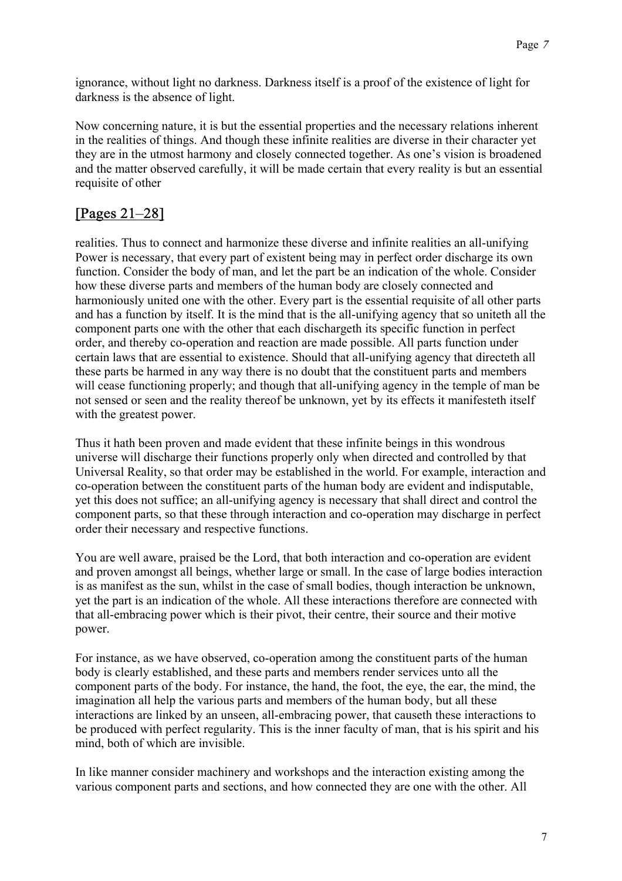ignorance, without light no darkness. Darkness itself is a proof of the existence of light for darkness is the absence of light.

Now concerning nature, it is but the essential properties and the necessary relations inherent in the realities of things. And though these infinite realities are diverse in their character yet they are in the utmost harmony and closely connected together. As one's vision is broadened and the matter observed carefully, it will be made certain that every reality is but an essential requisite of other

#### [Pages 21–28]

realities. Thus to connect and harmonize these diverse and infinite realities an all-unifying Power is necessary, that every part of existent being may in perfect order discharge its own function. Consider the body of man, and let the part be an indication of the whole. Consider how these diverse parts and members of the human body are closely connected and harmoniously united one with the other. Every part is the essential requisite of all other parts and has a function by itself. It is the mind that is the all-unifying agency that so uniteth all the component parts one with the other that each dischargeth its specific function in perfect order, and thereby co-operation and reaction are made possible. All parts function under certain laws that are essential to existence. Should that all-unifying agency that directeth all these parts be harmed in any way there is no doubt that the constituent parts and members will cease functioning properly; and though that all-unifying agency in the temple of man be not sensed or seen and the reality thereof be unknown, yet by its effects it manifesteth itself with the greatest power.

Thus it hath been proven and made evident that these infinite beings in this wondrous universe will discharge their functions properly only when directed and controlled by that Universal Reality, so that order may be established in the world. For example, interaction and co-operation between the constituent parts of the human body are evident and indisputable, yet this does not suffice; an all-unifying agency is necessary that shall direct and control the component parts, so that these through interaction and co-operation may discharge in perfect order their necessary and respective functions.

You are well aware, praised be the Lord, that both interaction and co-operation are evident and proven amongst all beings, whether large or small. In the case of large bodies interaction is as manifest as the sun, whilst in the case of small bodies, though interaction be unknown, yet the part is an indication of the whole. All these interactions therefore are connected with that all-embracing power which is their pivot, their centre, their source and their motive power.

For instance, as we have observed, co-operation among the constituent parts of the human body is clearly established, and these parts and members render services unto all the component parts of the body. For instance, the hand, the foot, the eye, the ear, the mind, the imagination all help the various parts and members of the human body, but all these interactions are linked by an unseen, all-embracing power, that causeth these interactions to be produced with perfect regularity. This is the inner faculty of man, that is his spirit and his mind, both of which are invisible.

In like manner consider machinery and workshops and the interaction existing among the various component parts and sections, and how connected they are one with the other. All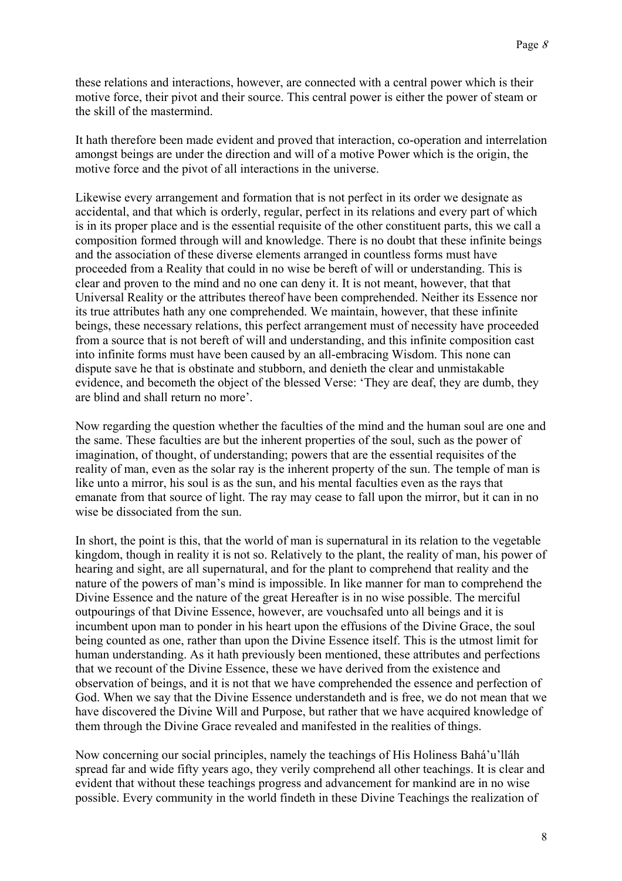these relations and interactions, however, are connected with a central power which is their motive force, their pivot and their source. This central power is either the power of steam or the skill of the mastermind.

It hath therefore been made evident and proved that interaction, co-operation and interrelation amongst beings are under the direction and will of a motive Power which is the origin, the motive force and the pivot of all interactions in the universe.

Likewise every arrangement and formation that is not perfect in its order we designate as accidental, and that which is orderly, regular, perfect in its relations and every part of which is in its proper place and is the essential requisite of the other constituent parts, this we call a composition formed through will and knowledge. There is no doubt that these infinite beings and the association of these diverse elements arranged in countless forms must have proceeded from a Reality that could in no wise be bereft of will or understanding. This is clear and proven to the mind and no one can deny it. It is not meant, however, that that Universal Reality or the attributes thereof have been comprehended. Neither its Essence nor its true attributes hath any one comprehended. We maintain, however, that these infinite beings, these necessary relations, this perfect arrangement must of necessity have proceeded from a source that is not bereft of will and understanding, and this infinite composition cast into infinite forms must have been caused by an all-embracing Wisdom. This none can dispute save he that is obstinate and stubborn, and denieth the clear and unmistakable evidence, and becometh the object of the blessed Verse: 'They are deaf, they are dumb, they are blind and shall return no more'.

Now regarding the question whether the faculties of the mind and the human soul are one and the same. These faculties are but the inherent properties of the soul, such as the power of imagination, of thought, of understanding; powers that are the essential requisites of the reality of man, even as the solar ray is the inherent property of the sun. The temple of man is like unto a mirror, his soul is as the sun, and his mental faculties even as the rays that emanate from that source of light. The ray may cease to fall upon the mirror, but it can in no wise be dissociated from the sun.

In short, the point is this, that the world of man is supernatural in its relation to the vegetable kingdom, though in reality it is not so. Relatively to the plant, the reality of man, his power of hearing and sight, are all supernatural, and for the plant to comprehend that reality and the nature of the powers of man's mind is impossible. In like manner for man to comprehend the Divine Essence and the nature of the great Hereafter is in no wise possible. The merciful outpourings of that Divine Essence, however, are vouchsafed unto all beings and it is incumbent upon man to ponder in his heart upon the effusions of the Divine Grace, the soul being counted as one, rather than upon the Divine Essence itself. This is the utmost limit for human understanding. As it hath previously been mentioned, these attributes and perfections that we recount of the Divine Essence, these we have derived from the existence and observation of beings, and it is not that we have comprehended the essence and perfection of God. When we say that the Divine Essence understandeth and is free, we do not mean that we have discovered the Divine Will and Purpose, but rather that we have acquired knowledge of them through the Divine Grace revealed and manifested in the realities of things.

Now concerning our social principles, namely the teachings of His Holiness Bahá'u'lláh spread far and wide fifty years ago, they verily comprehend all other teachings. It is clear and evident that without these teachings progress and advancement for mankind are in no wise possible. Every community in the world findeth in these Divine Teachings the realization of